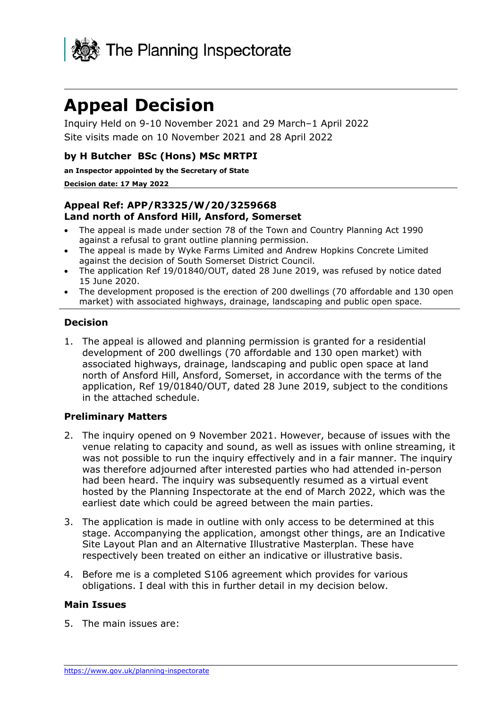

# **Appeal Decision**

Inquiry Held on 9-10 November 2021 and 29 March–1 April 2022 Site visits made on 10 November 2021 and 28 April 2022

#### **by H Butcher BSc (Hons) MSc MRTPI**

**an Inspector appointed by the Secretary of State** 

#### **Decision date: 17 May 2022**

#### **Appeal Ref: APP/R3325/W/20/3259668 Land north of Ansford Hill, Ansford, Somerset**

- The appeal is made under section 78 of the Town and Country Planning Act 1990 against a refusal to grant outline planning permission.
- The appeal is made by Wyke Farms Limited and Andrew Hopkins Concrete Limited against the decision of South Somerset District Council.
- The application Ref 19/01840/OUT, dated 28 June 2019, was refused by notice dated 15 June 2020.
- The development proposed is the erection of 200 dwellings (70 affordable and 130 open market) with associated highways, drainage, landscaping and public open space.

#### **Decision**

1. The appeal is allowed and planning permission is granted for a residential development of 200 dwellings (70 affordable and 130 open market) with associated highways, drainage, landscaping and public open space at land north of Ansford Hill, Ansford, Somerset, in accordance with the terms of the application, Ref 19/01840/OUT, dated 28 June 2019, subject to the conditions in the attached schedule.

#### **Preliminary Matters**

- 2. The inquiry opened on 9 November 2021. However, because of issues with the venue relating to capacity and sound, as well as issues with online streaming, it was not possible to run the inquiry effectively and in a fair manner. The inquiry was therefore adjourned after interested parties who had attended in-person had been heard. The inquiry was subsequently resumed as a virtual event hosted by the Planning Inspectorate at the end of March 2022, which was the earliest date which could be agreed between the main parties.
- 3. The application is made in outline with only access to be determined at this stage. Accompanying the application, amongst other things, are an Indicative Site Layout Plan and an Alternative Illustrative Masterplan. These have respectively been treated on either an indicative or illustrative basis.
- 4. Before me is a completed S106 agreement which provides for various obligations. I deal with this in further detail in my decision below.

#### **Main Issues**

5. The main issues are: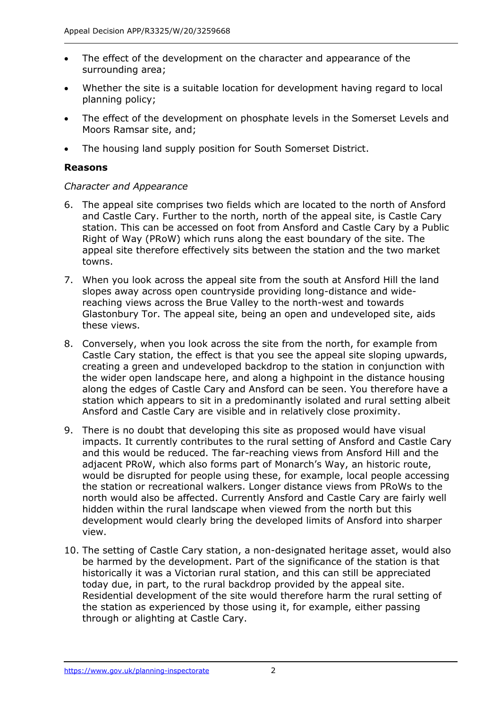- The effect of the development on the character and appearance of the surrounding area;
- Whether the site is a suitable location for development having regard to local planning policy;
- The effect of the development on phosphate levels in the Somerset Levels and Moors Ramsar site, and;
- The housing land supply position for South Somerset District.

#### **Reasons**

#### *Character and Appearance*

- 6. The appeal site comprises two fields which are located to the north of Ansford and Castle Cary. Further to the north, north of the appeal site, is Castle Cary station. This can be accessed on foot from Ansford and Castle Cary by a Public Right of Way (PRoW) which runs along the east boundary of the site. The appeal site therefore effectively sits between the station and the two market towns.
- 7. When you look across the appeal site from the south at Ansford Hill the land slopes away across open countryside providing long-distance and widereaching views across the Brue Valley to the north-west and towards Glastonbury Tor. The appeal site, being an open and undeveloped site, aids these views.
- 8. Conversely, when you look across the site from the north, for example from Castle Cary station, the effect is that you see the appeal site sloping upwards, creating a green and undeveloped backdrop to the station in conjunction with the wider open landscape here, and along a highpoint in the distance housing along the edges of Castle Cary and Ansford can be seen. You therefore have a station which appears to sit in a predominantly isolated and rural setting albeit Ansford and Castle Cary are visible and in relatively close proximity.
- 9. There is no doubt that developing this site as proposed would have visual impacts. It currently contributes to the rural setting of Ansford and Castle Cary and this would be reduced. The far-reaching views from Ansford Hill and the adjacent PRoW, which also forms part of Monarch's Way, an historic route, would be disrupted for people using these, for example, local people accessing the station or recreational walkers. Longer distance views from PRoWs to the north would also be affected. Currently Ansford and Castle Cary are fairly well hidden within the rural landscape when viewed from the north but this development would clearly bring the developed limits of Ansford into sharper view.
- 10. The setting of Castle Cary station, a non-designated heritage asset, would also be harmed by the development. Part of the significance of the station is that historically it was a Victorian rural station, and this can still be appreciated today due, in part, to the rural backdrop provided by the appeal site. Residential development of the site would therefore harm the rural setting of the station as experienced by those using it, for example, either passing through or alighting at Castle Cary.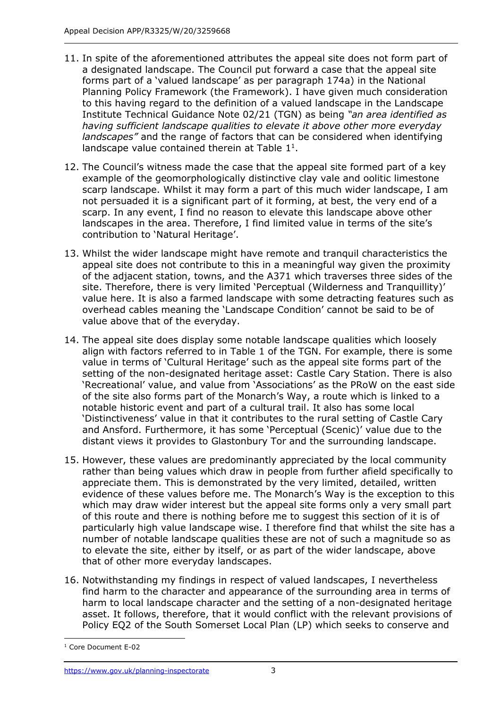- 11. In spite of the aforementioned attributes the appeal site does not form part of a designated landscape. The Council put forward a case that the appeal site forms part of a 'valued landscape' as per paragraph 174a) in the National Planning Policy Framework (the Framework). I have given much consideration to this having regard to the definition of a valued landscape in the Landscape Institute Technical Guidance Note 02/21 (TGN) as being *"an area identified as having sufficient landscape qualities to elevate it above other more everyday landscapes"* and the range of factors that can be considered when identifying landscape value contained therein at Table  $1<sup>1</sup>$ .
- 12. The Council's witness made the case that the appeal site formed part of a key example of the geomorphologically distinctive clay vale and oolitic limestone scarp landscape. Whilst it may form a part of this much wider landscape, I am not persuaded it is a significant part of it forming, at best, the very end of a scarp. In any event, I find no reason to elevate this landscape above other landscapes in the area. Therefore, I find limited value in terms of the site's contribution to 'Natural Heritage'.
- 13. Whilst the wider landscape might have remote and tranquil characteristics the appeal site does not contribute to this in a meaningful way given the proximity of the adjacent station, towns, and the A371 which traverses three sides of the site. Therefore, there is very limited 'Perceptual (Wilderness and Tranquillity)' value here. It is also a farmed landscape with some detracting features such as overhead cables meaning the 'Landscape Condition' cannot be said to be of value above that of the everyday.
- 14. The appeal site does display some notable landscape qualities which loosely align with factors referred to in Table 1 of the TGN. For example, there is some value in terms of 'Cultural Heritage' such as the appeal site forms part of the setting of the non-designated heritage asset: Castle Cary Station. There is also 'Recreational' value, and value from 'Associations' as the PRoW on the east side of the site also forms part of the Monarch's Way, a route which is linked to a notable historic event and part of a cultural trail. It also has some local 'Distinctiveness' value in that it contributes to the rural setting of Castle Cary and Ansford. Furthermore, it has some 'Perceptual (Scenic)' value due to the distant views it provides to Glastonbury Tor and the surrounding landscape.
- 15. However, these values are predominantly appreciated by the local community rather than being values which draw in people from further afield specifically to appreciate them. This is demonstrated by the very limited, detailed, written evidence of these values before me. The Monarch's Way is the exception to this which may draw wider interest but the appeal site forms only a very small part of this route and there is nothing before me to suggest this section of it is of particularly high value landscape wise. I therefore find that whilst the site has a number of notable landscape qualities these are not of such a magnitude so as to elevate the site, either by itself, or as part of the wider landscape, above that of other more everyday landscapes.
- 16. Notwithstanding my findings in respect of valued landscapes, I nevertheless find harm to the character and appearance of the surrounding area in terms of harm to local landscape character and the setting of a non-designated heritage asset. It follows, therefore, that it would conflict with the relevant provisions of Policy EQ2 of the South Somerset Local Plan (LP) which seeks to conserve and

<sup>&</sup>lt;sup>1</sup> Core Document E-02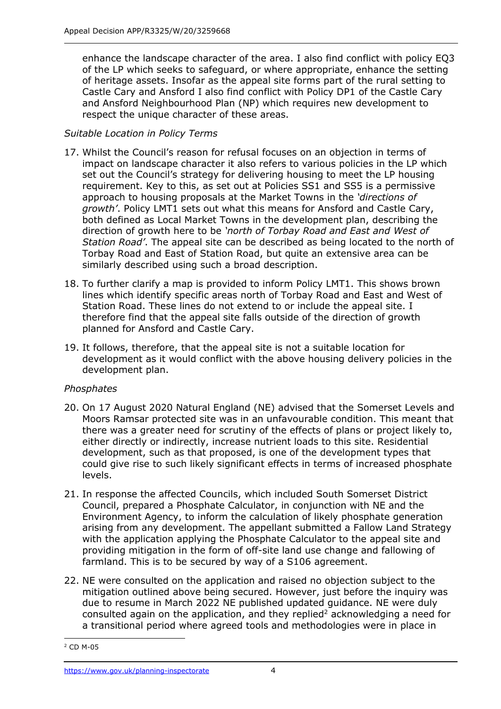enhance the landscape character of the area. I also find conflict with policy EQ3 of the LP which seeks to safeguard, or where appropriate, enhance the setting of heritage assets. Insofar as the appeal site forms part of the rural setting to Castle Cary and Ansford I also find conflict with Policy DP1 of the Castle Cary and Ansford Neighbourhood Plan (NP) which requires new development to respect the unique character of these areas.

## *Suitable Location in Policy Terms*

- 17. Whilst the Council's reason for refusal focuses on an objection in terms of impact on landscape character it also refers to various policies in the LP which set out the Council's strategy for delivering housing to meet the LP housing requirement. Key to this, as set out at Policies SS1 and SS5 is a permissive approach to housing proposals at the Market Towns in the *'directions of growth'*. Policy LMT1 sets out what this means for Ansford and Castle Cary, both defined as Local Market Towns in the development plan, describing the direction of growth here to be *'north of Torbay Road and East and West of Station Road'*. The appeal site can be described as being located to the north of Torbay Road and East of Station Road, but quite an extensive area can be similarly described using such a broad description.
- 18. To further clarify a map is provided to inform Policy LMT1. This shows brown lines which identify specific areas north of Torbay Road and East and West of Station Road. These lines do not extend to or include the appeal site. I therefore find that the appeal site falls outside of the direction of growth planned for Ansford and Castle Cary.
- 19. It follows, therefore, that the appeal site is not a suitable location for development as it would conflict with the above housing delivery policies in the development plan.

## *Phosphates*

- 20. On 17 August 2020 Natural England (NE) advised that the Somerset Levels and Moors Ramsar protected site was in an unfavourable condition. This meant that there was a greater need for scrutiny of the effects of plans or project likely to, either directly or indirectly, increase nutrient loads to this site. Residential development, such as that proposed, is one of the development types that could give rise to such likely significant effects in terms of increased phosphate levels.
- 21. In response the affected Councils, which included South Somerset District Council, prepared a Phosphate Calculator, in conjunction with NE and the Environment Agency, to inform the calculation of likely phosphate generation arising from any development. The appellant submitted a Fallow Land Strategy with the application applying the Phosphate Calculator to the appeal site and providing mitigation in the form of off-site land use change and fallowing of farmland. This is to be secured by way of a S106 agreement.
- 22. NE were consulted on the application and raised no objection subject to the mitigation outlined above being secured. However, just before the inquiry was due to resume in March 2022 NE published updated guidance. NE were duly consulted again on the application, and they replied<sup>2</sup> acknowledging a need for a transitional period where agreed tools and methodologies were in place in

<sup>2</sup> CD M-05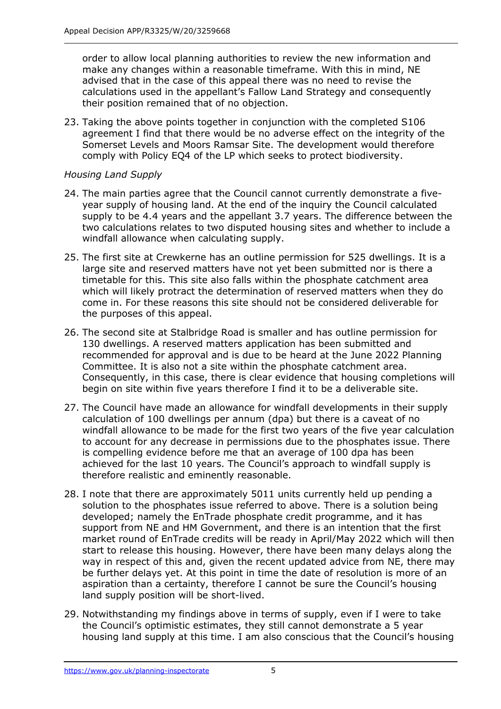order to allow local planning authorities to review the new information and make any changes within a reasonable timeframe. With this in mind, NE advised that in the case of this appeal there was no need to revise the calculations used in the appellant's Fallow Land Strategy and consequently their position remained that of no objection.

23. Taking the above points together in conjunction with the completed S106 agreement I find that there would be no adverse effect on the integrity of the Somerset Levels and Moors Ramsar Site. The development would therefore comply with Policy EQ4 of the LP which seeks to protect biodiversity.

#### *Housing Land Supply*

- 24. The main parties agree that the Council cannot currently demonstrate a fiveyear supply of housing land. At the end of the inquiry the Council calculated supply to be 4.4 years and the appellant 3.7 years. The difference between the two calculations relates to two disputed housing sites and whether to include a windfall allowance when calculating supply.
- 25. The first site at Crewkerne has an outline permission for 525 dwellings. It is a large site and reserved matters have not yet been submitted nor is there a timetable for this. This site also falls within the phosphate catchment area which will likely protract the determination of reserved matters when they do come in. For these reasons this site should not be considered deliverable for the purposes of this appeal.
- 26. The second site at Stalbridge Road is smaller and has outline permission for 130 dwellings. A reserved matters application has been submitted and recommended for approval and is due to be heard at the June 2022 Planning Committee. It is also not a site within the phosphate catchment area. Consequently, in this case, there is clear evidence that housing completions will begin on site within five years therefore I find it to be a deliverable site.
- 27. The Council have made an allowance for windfall developments in their supply calculation of 100 dwellings per annum (dpa) but there is a caveat of no windfall allowance to be made for the first two years of the five year calculation to account for any decrease in permissions due to the phosphates issue. There is compelling evidence before me that an average of 100 dpa has been achieved for the last 10 years. The Council's approach to windfall supply is therefore realistic and eminently reasonable.
- 28. I note that there are approximately 5011 units currently held up pending a solution to the phosphates issue referred to above. There is a solution being developed; namely the EnTrade phosphate credit programme, and it has support from NE and HM Government, and there is an intention that the first market round of EnTrade credits will be ready in April/May 2022 which will then start to release this housing. However, there have been many delays along the way in respect of this and, given the recent updated advice from NE, there may be further delays yet. At this point in time the date of resolution is more of an aspiration than a certainty, therefore I cannot be sure the Council's housing land supply position will be short-lived.
- 29. Notwithstanding my findings above in terms of supply, even if I were to take the Council's optimistic estimates, they still cannot demonstrate a 5 year housing land supply at this time. I am also conscious that the Council's housing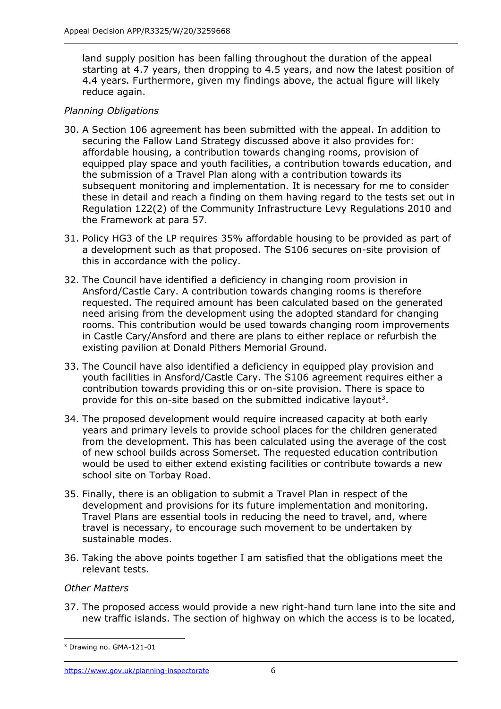land supply position has been falling throughout the duration of the appeal starting at 4.7 years, then dropping to 4.5 years, and now the latest position of 4.4 years. Furthermore, given my findings above, the actual figure will likely reduce again.

## *Planning Obligations*

- 30. A Section 106 agreement has been submitted with the appeal. In addition to securing the Fallow Land Strategy discussed above it also provides for: affordable housing, a contribution towards changing rooms, provision of equipped play space and youth facilities, a contribution towards education, and the submission of a Travel Plan along with a contribution towards its subsequent monitoring and implementation. It is necessary for me to consider these in detail and reach a finding on them having regard to the tests set out in Regulation 122(2) of the Community Infrastructure Levy Regulations 2010 and the Framework at para 57.
- 31. Policy HG3 of the LP requires 35% affordable housing to be provided as part of a development such as that proposed. The S106 secures on-site provision of this in accordance with the policy.
- 32. The Council have identified a deficiency in changing room provision in Ansford/Castle Cary. A contribution towards changing rooms is therefore requested. The required amount has been calculated based on the generated need arising from the development using the adopted standard for changing rooms. This contribution would be used towards changing room improvements in Castle Cary/Ansford and there are plans to either replace or refurbish the existing pavilion at Donald Pithers Memorial Ground.
- 33. The Council have also identified a deficiency in equipped play provision and youth facilities in Ansford/Castle Cary. The S106 agreement requires either a contribution towards providing this or on-site provision. There is space to provide for this on-site based on the submitted indicative layout<sup>3</sup>.
- 34. The proposed development would require increased capacity at both early years and primary levels to provide school places for the children generated from the development. This has been calculated using the average of the cost of new school builds across Somerset. The requested education contribution would be used to either extend existing facilities or contribute towards a new school site on Torbay Road.
- 35. Finally, there is an obligation to submit a Travel Plan in respect of the development and provisions for its future implementation and monitoring. Travel Plans are essential tools in reducing the need to travel, and, where travel is necessary, to encourage such movement to be undertaken by sustainable modes.
- 36. Taking the above points together I am satisfied that the obligations meet the relevant tests.

## *Other Matters*

37. The proposed access would provide a new right-hand turn lane into the site and new traffic islands. The section of highway on which the access is to be located,

<sup>3</sup> Drawing no. GMA-121-01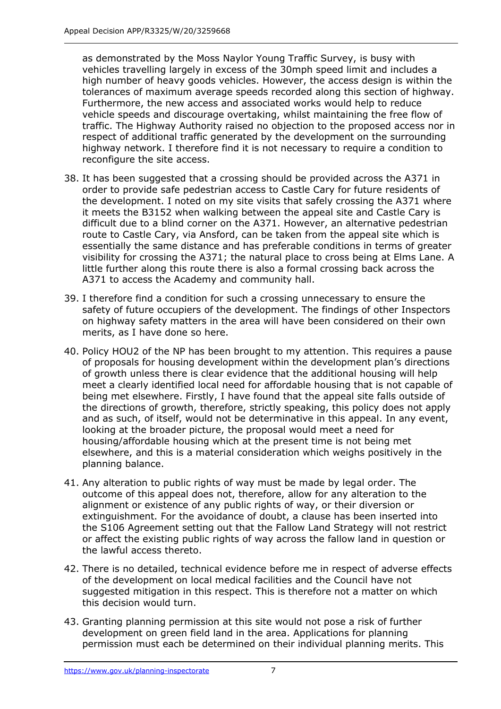as demonstrated by the Moss Naylor Young Traffic Survey, is busy with vehicles travelling largely in excess of the 30mph speed limit and includes a high number of heavy goods vehicles. However, the access design is within the tolerances of maximum average speeds recorded along this section of highway. Furthermore, the new access and associated works would help to reduce vehicle speeds and discourage overtaking, whilst maintaining the free flow of traffic. The Highway Authority raised no objection to the proposed access nor in respect of additional traffic generated by the development on the surrounding highway network. I therefore find it is not necessary to require a condition to reconfigure the site access.

- 38. It has been suggested that a crossing should be provided across the A371 in order to provide safe pedestrian access to Castle Cary for future residents of the development. I noted on my site visits that safely crossing the A371 where it meets the B3152 when walking between the appeal site and Castle Cary is difficult due to a blind corner on the A371. However, an alternative pedestrian route to Castle Cary, via Ansford, can be taken from the appeal site which is essentially the same distance and has preferable conditions in terms of greater visibility for crossing the A371; the natural place to cross being at Elms Lane. A little further along this route there is also a formal crossing back across the A371 to access the Academy and community hall.
- 39. I therefore find a condition for such a crossing unnecessary to ensure the safety of future occupiers of the development. The findings of other Inspectors on highway safety matters in the area will have been considered on their own merits, as I have done so here.
- 40. Policy HOU2 of the NP has been brought to my attention. This requires a pause of proposals for housing development within the development plan's directions of growth unless there is clear evidence that the additional housing will help meet a clearly identified local need for affordable housing that is not capable of being met elsewhere. Firstly, I have found that the appeal site falls outside of the directions of growth, therefore, strictly speaking, this policy does not apply and as such, of itself, would not be determinative in this appeal. In any event, looking at the broader picture, the proposal would meet a need for housing/affordable housing which at the present time is not being met elsewhere, and this is a material consideration which weighs positively in the planning balance.
- 41. Any alteration to public rights of way must be made by legal order. The outcome of this appeal does not, therefore, allow for any alteration to the alignment or existence of any public rights of way, or their diversion or extinguishment. For the avoidance of doubt, a clause has been inserted into the S106 Agreement setting out that the Fallow Land Strategy will not restrict or affect the existing public rights of way across the fallow land in question or the lawful access thereto.
- 42. There is no detailed, technical evidence before me in respect of adverse effects of the development on local medical facilities and the Council have not suggested mitigation in this respect. This is therefore not a matter on which this decision would turn.
- 43. Granting planning permission at this site would not pose a risk of further development on green field land in the area. Applications for planning permission must each be determined on their individual planning merits. This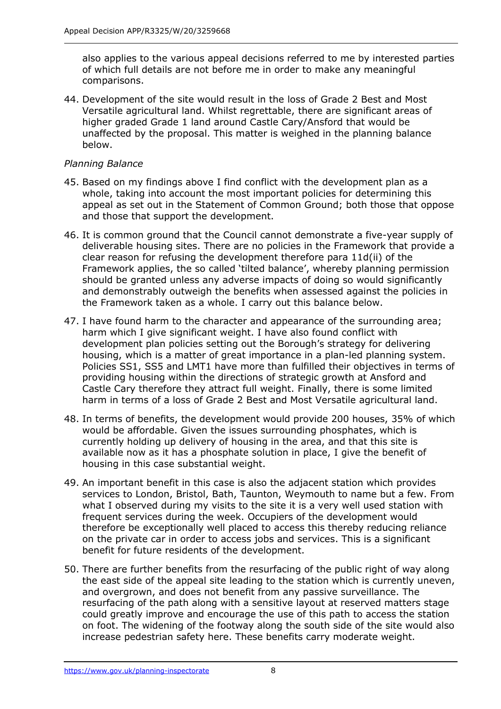also applies to the various appeal decisions referred to me by interested parties of which full details are not before me in order to make any meaningful comparisons.

44. Development of the site would result in the loss of Grade 2 Best and Most Versatile agricultural land. Whilst regrettable, there are significant areas of higher graded Grade 1 land around Castle Cary/Ansford that would be unaffected by the proposal. This matter is weighed in the planning balance below.

## *Planning Balance*

- 45. Based on my findings above I find conflict with the development plan as a whole, taking into account the most important policies for determining this appeal as set out in the Statement of Common Ground; both those that oppose and those that support the development.
- 46. It is common ground that the Council cannot demonstrate a five-year supply of deliverable housing sites. There are no policies in the Framework that provide a clear reason for refusing the development therefore para 11d(ii) of the Framework applies, the so called 'tilted balance', whereby planning permission should be granted unless any adverse impacts of doing so would significantly and demonstrably outweigh the benefits when assessed against the policies in the Framework taken as a whole. I carry out this balance below.
- 47. I have found harm to the character and appearance of the surrounding area; harm which I give significant weight. I have also found conflict with development plan policies setting out the Borough's strategy for delivering housing, which is a matter of great importance in a plan-led planning system. Policies SS1, SS5 and LMT1 have more than fulfilled their objectives in terms of providing housing within the directions of strategic growth at Ansford and Castle Cary therefore they attract full weight. Finally, there is some limited harm in terms of a loss of Grade 2 Best and Most Versatile agricultural land.
- 48. In terms of benefits, the development would provide 200 houses, 35% of which would be affordable. Given the issues surrounding phosphates, which is currently holding up delivery of housing in the area, and that this site is available now as it has a phosphate solution in place, I give the benefit of housing in this case substantial weight.
- 49. An important benefit in this case is also the adjacent station which provides services to London, Bristol, Bath, Taunton, Weymouth to name but a few. From what I observed during my visits to the site it is a very well used station with frequent services during the week. Occupiers of the development would therefore be exceptionally well placed to access this thereby reducing reliance on the private car in order to access jobs and services. This is a significant benefit for future residents of the development.
- 50. There are further benefits from the resurfacing of the public right of way along the east side of the appeal site leading to the station which is currently uneven, and overgrown, and does not benefit from any passive surveillance. The resurfacing of the path along with a sensitive layout at reserved matters stage could greatly improve and encourage the use of this path to access the station on foot. The widening of the footway along the south side of the site would also increase pedestrian safety here. These benefits carry moderate weight.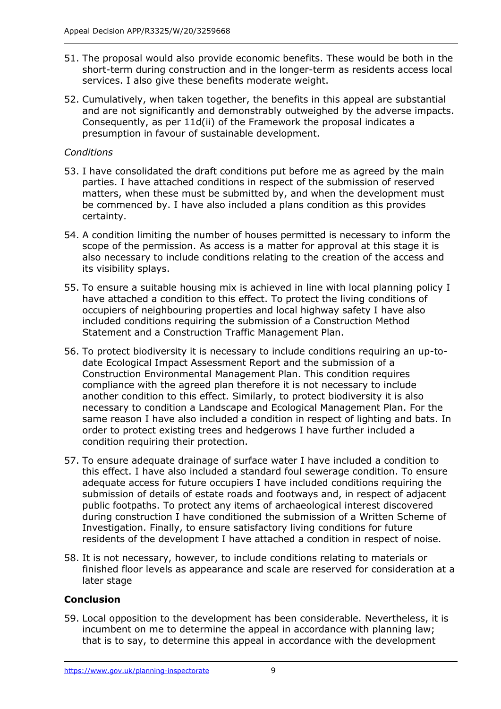- 51. The proposal would also provide economic benefits. These would be both in the short-term during construction and in the longer-term as residents access local services. I also give these benefits moderate weight.
- 52. Cumulatively, when taken together, the benefits in this appeal are substantial and are not significantly and demonstrably outweighed by the adverse impacts. Consequently, as per 11d(ii) of the Framework the proposal indicates a presumption in favour of sustainable development.

## *Conditions*

- 53. I have consolidated the draft conditions put before me as agreed by the main parties. I have attached conditions in respect of the submission of reserved matters, when these must be submitted by, and when the development must be commenced by. I have also included a plans condition as this provides certainty.
- 54. A condition limiting the number of houses permitted is necessary to inform the scope of the permission. As access is a matter for approval at this stage it is also necessary to include conditions relating to the creation of the access and its visibility splays.
- 55. To ensure a suitable housing mix is achieved in line with local planning policy I have attached a condition to this effect. To protect the living conditions of occupiers of neighbouring properties and local highway safety I have also included conditions requiring the submission of a Construction Method Statement and a Construction Traffic Management Plan.
- 56. To protect biodiversity it is necessary to include conditions requiring an up-todate Ecological Impact Assessment Report and the submission of a Construction Environmental Management Plan. This condition requires compliance with the agreed plan therefore it is not necessary to include another condition to this effect. Similarly, to protect biodiversity it is also necessary to condition a Landscape and Ecological Management Plan. For the same reason I have also included a condition in respect of lighting and bats. In order to protect existing trees and hedgerows I have further included a condition requiring their protection.
- 57. To ensure adequate drainage of surface water I have included a condition to this effect. I have also included a standard foul sewerage condition. To ensure adequate access for future occupiers I have included conditions requiring the submission of details of estate roads and footways and, in respect of adjacent public footpaths. To protect any items of archaeological interest discovered during construction I have conditioned the submission of a Written Scheme of Investigation. Finally, to ensure satisfactory living conditions for future residents of the development I have attached a condition in respect of noise.
- 58. It is not necessary, however, to include conditions relating to materials or finished floor levels as appearance and scale are reserved for consideration at a later stage

## **Conclusion**

59. Local opposition to the development has been considerable. Nevertheless, it is incumbent on me to determine the appeal in accordance with planning law; that is to say, to determine this appeal in accordance with the development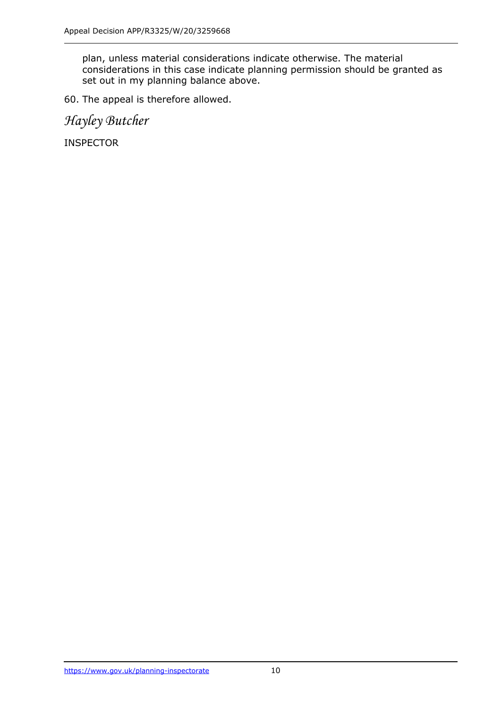plan, unless material considerations indicate otherwise. The material considerations in this case indicate planning permission should be granted as set out in my planning balance above.

60. The appeal is therefore allowed.

*Hayley Butcher*

INSPECTOR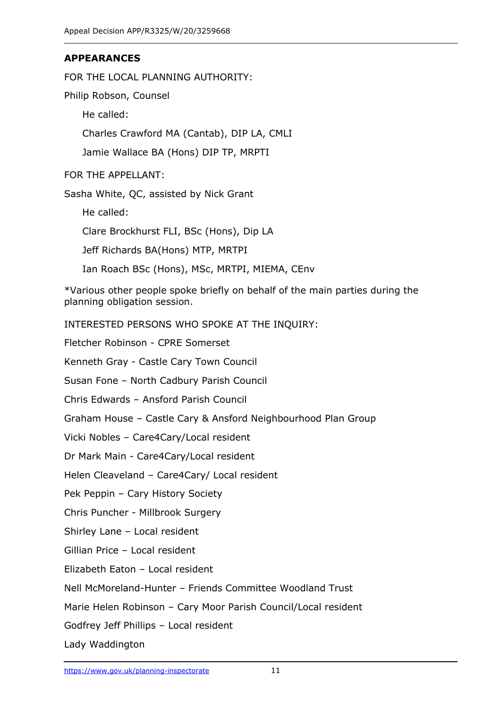## **APPEARANCES**

FOR THE LOCAL PLANNING AUTHORITY:

Philip Robson, Counsel

He called:

Charles Crawford MA (Cantab), DIP LA, CMLI

Jamie Wallace BA (Hons) DIP TP, MRPTI

FOR THE APPELLANT:

Sasha White, QC, assisted by Nick Grant

He called:

Clare Brockhurst FLI, BSc (Hons), Dip LA

Jeff Richards BA(Hons) MTP, MRTPI

Ian Roach BSc (Hons), MSc, MRTPI, MIEMA, CEnv

\*Various other people spoke briefly on behalf of the main parties during the planning obligation session.

INTERESTED PERSONS WHO SPOKE AT THE INQUIRY:

Fletcher Robinson - CPRE Somerset

Kenneth Gray - Castle Cary Town Council

Susan Fone – North Cadbury Parish Council

Chris Edwards – Ansford Parish Council

Graham House – Castle Cary & Ansford Neighbourhood Plan Group

Vicki Nobles – Care4Cary/Local resident

Dr Mark Main - Care4Cary/Local resident

Helen Cleaveland – Care4Cary/ Local resident

Pek Peppin – Cary History Society

Chris Puncher - Millbrook Surgery

Shirley Lane – Local resident

Gillian Price – Local resident

Elizabeth Eaton – Local resident

Nell McMoreland-Hunter – Friends Committee Woodland Trust

Marie Helen Robinson – Cary Moor Parish Council/Local resident

Godfrey Jeff Phillips – Local resident

Lady Waddington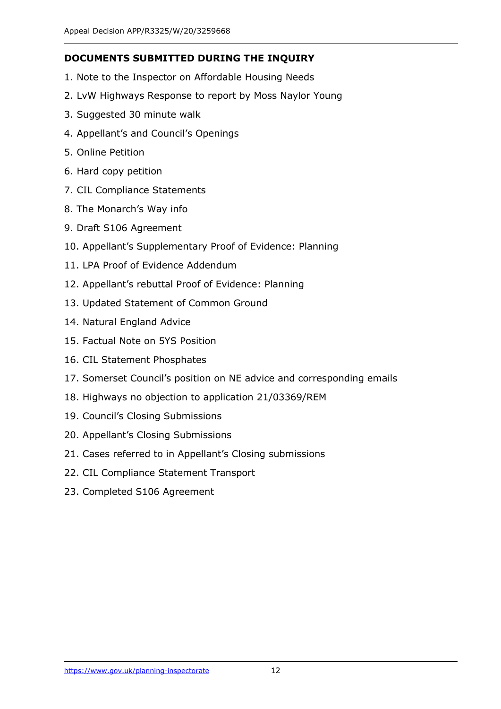#### **DOCUMENTS SUBMITTED DURING THE INQUIRY**

- 1. Note to the Inspector on Affordable Housing Needs
- 2. LvW Highways Response to report by Moss Naylor Young
- 3. Suggested 30 minute walk
- 4. Appellant's and Council's Openings
- 5. Online Petition
- 6. Hard copy petition
- 7. CIL Compliance Statements
- 8. The Monarch's Way info
- 9. Draft S106 Agreement
- 10. Appellant's Supplementary Proof of Evidence: Planning
- 11. LPA Proof of Evidence Addendum
- 12. Appellant's rebuttal Proof of Evidence: Planning
- 13. Updated Statement of Common Ground
- 14. Natural England Advice
- 15. Factual Note on 5YS Position
- 16. CIL Statement Phosphates
- 17. Somerset Council's position on NE advice and corresponding emails
- 18. Highways no objection to application 21/03369/REM
- 19. Council's Closing Submissions
- 20. Appellant's Closing Submissions
- 21. Cases referred to in Appellant's Closing submissions
- 22. CIL Compliance Statement Transport
- 23. Completed S106 Agreement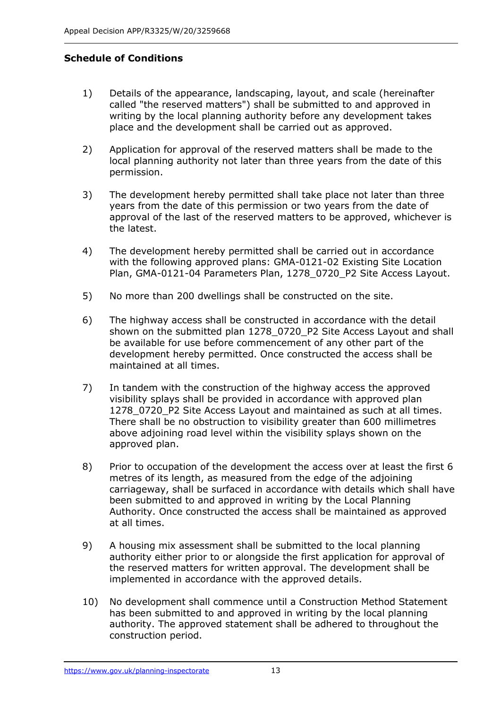## **Schedule of Conditions**

- 1) Details of the appearance, landscaping, layout, and scale (hereinafter called "the reserved matters") shall be submitted to and approved in writing by the local planning authority before any development takes place and the development shall be carried out as approved.
- 2) Application for approval of the reserved matters shall be made to the local planning authority not later than three years from the date of this permission.
- 3) The development hereby permitted shall take place not later than three years from the date of this permission or two years from the date of approval of the last of the reserved matters to be approved, whichever is the latest.
- 4) The development hereby permitted shall be carried out in accordance with the following approved plans: GMA-0121-02 Existing Site Location Plan, GMA-0121-04 Parameters Plan, 1278\_0720\_P2 Site Access Layout.
- 5) No more than 200 dwellings shall be constructed on the site.
- 6) The highway access shall be constructed in accordance with the detail shown on the submitted plan 1278\_0720\_P2 Site Access Layout and shall be available for use before commencement of any other part of the development hereby permitted. Once constructed the access shall be maintained at all times.
- 7) In tandem with the construction of the highway access the approved visibility splays shall be provided in accordance with approved plan 1278 0720 P2 Site Access Layout and maintained as such at all times. There shall be no obstruction to visibility greater than 600 millimetres above adjoining road level within the visibility splays shown on the approved plan.
- 8) Prior to occupation of the development the access over at least the first 6 metres of its length, as measured from the edge of the adjoining carriageway, shall be surfaced in accordance with details which shall have been submitted to and approved in writing by the Local Planning Authority. Once constructed the access shall be maintained as approved at all times.
- 9) A housing mix assessment shall be submitted to the local planning authority either prior to or alongside the first application for approval of the reserved matters for written approval. The development shall be implemented in accordance with the approved details.
- 10) No development shall commence until a Construction Method Statement has been submitted to and approved in writing by the local planning authority. The approved statement shall be adhered to throughout the construction period.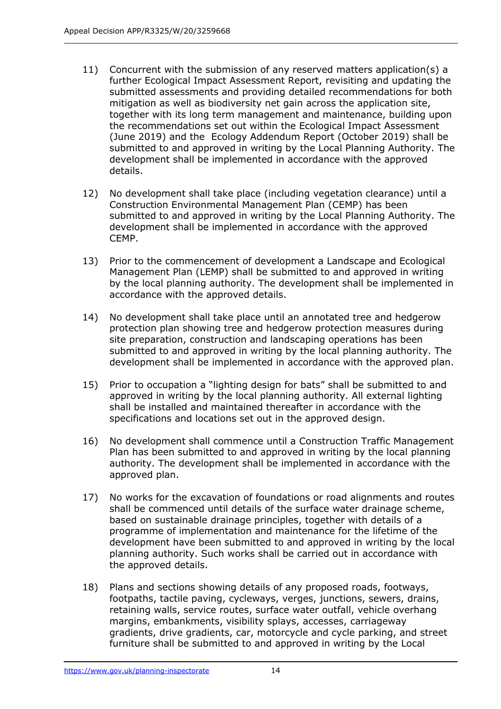- 11) Concurrent with the submission of any reserved matters application(s) a further Ecological Impact Assessment Report, revisiting and updating the submitted assessments and providing detailed recommendations for both mitigation as well as biodiversity net gain across the application site, together with its long term management and maintenance, building upon the recommendations set out within the Ecological Impact Assessment (June 2019) and the Ecology Addendum Report (October 2019) shall be submitted to and approved in writing by the Local Planning Authority. The development shall be implemented in accordance with the approved details.
- 12) No development shall take place (including vegetation clearance) until a Construction Environmental Management Plan (CEMP) has been submitted to and approved in writing by the Local Planning Authority. The development shall be implemented in accordance with the approved CEMP.
- 13) Prior to the commencement of development a Landscape and Ecological Management Plan (LEMP) shall be submitted to and approved in writing by the local planning authority. The development shall be implemented in accordance with the approved details.
- 14) No development shall take place until an annotated tree and hedgerow protection plan showing tree and hedgerow protection measures during site preparation, construction and landscaping operations has been submitted to and approved in writing by the local planning authority. The development shall be implemented in accordance with the approved plan.
- 15) Prior to occupation a "lighting design for bats" shall be submitted to and approved in writing by the local planning authority. All external lighting shall be installed and maintained thereafter in accordance with the specifications and locations set out in the approved design.
- 16) No development shall commence until a Construction Traffic Management Plan has been submitted to and approved in writing by the local planning authority. The development shall be implemented in accordance with the approved plan.
- 17) No works for the excavation of foundations or road alignments and routes shall be commenced until details of the surface water drainage scheme, based on sustainable drainage principles, together with details of a programme of implementation and maintenance for the lifetime of the development have been submitted to and approved in writing by the local planning authority. Such works shall be carried out in accordance with the approved details.
- 18) Plans and sections showing details of any proposed roads, footways, footpaths, tactile paving, cycleways, verges, junctions, sewers, drains, retaining walls, service routes, surface water outfall, vehicle overhang margins, embankments, visibility splays, accesses, carriageway gradients, drive gradients, car, motorcycle and cycle parking, and street furniture shall be submitted to and approved in writing by the Local